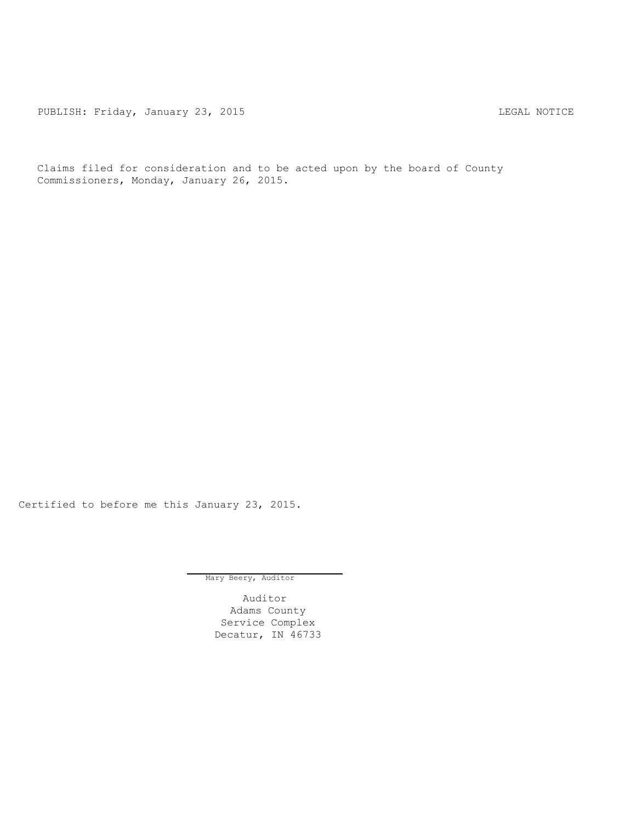PUBLISH: Friday, January 23, 2015 CHA CHANGE AND THE SAL NOTICE

Claims filed for consideration and to be acted upon by the board of County Commissioners, Monday, January 26, 2015.

Certified to before me this January 23, 2015.

Mary Beery, Auditor

Auditor Adams County Service Complex Decatur, IN 46733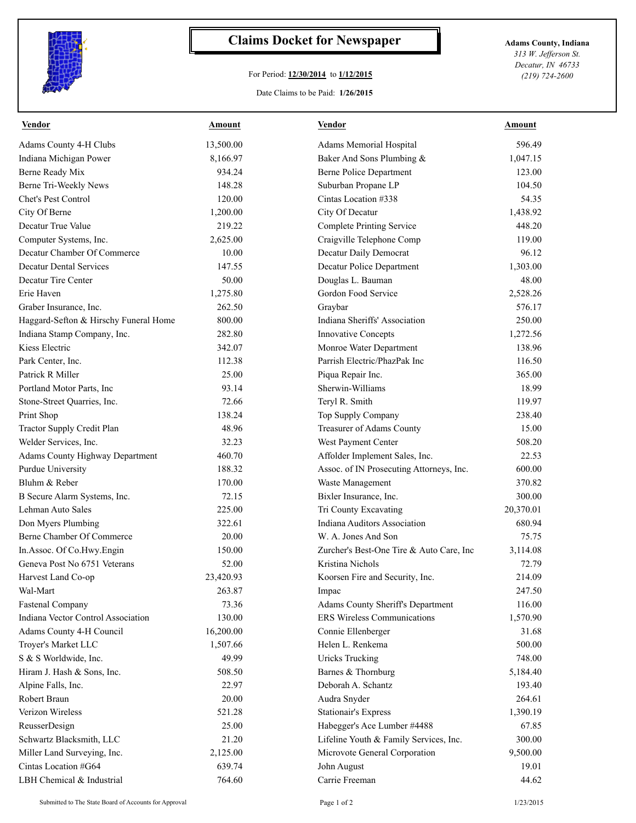

## **Claims Docket for Newspaper Adams County, Indiana**

## For Period: **12/30/2014** to **1/12/2015**

*313 W. Jefferson St. Decatur, IN 46733 (219) 724-2600*

## Date Claims to be Paid: **1/26/2015**

| <b>Vendor</b>                          | <u>Amount</u> | <b>Vendor</b>                            | <b>Amount</b> |
|----------------------------------------|---------------|------------------------------------------|---------------|
| Adams County 4-H Clubs                 | 13,500.00     | Adams Memorial Hospital                  | 596.49        |
| Indiana Michigan Power                 | 8,166.97      | Baker And Sons Plumbing &                | 1,047.15      |
| Berne Ready Mix                        | 934.24        | <b>Berne Police Department</b>           | 123.00        |
| Berne Tri-Weekly News                  | 148.28        | Suburban Propane LP                      | 104.50        |
| Chet's Pest Control                    | 120.00        | Cintas Location #338                     | 54.35         |
| City Of Berne                          | 1,200.00      | City Of Decatur                          | 1,438.92      |
| Decatur True Value                     | 219.22        | <b>Complete Printing Service</b>         | 448.20        |
| Computer Systems, Inc.                 | 2,625.00      | Craigville Telephone Comp                | 119.00        |
| Decatur Chamber Of Commerce            | 10.00         | Decatur Daily Democrat                   | 96.12         |
| <b>Decatur Dental Services</b>         | 147.55        | Decatur Police Department                | 1,303.00      |
| Decatur Tire Center                    | 50.00         | Douglas L. Bauman                        | 48.00         |
| Erie Haven                             | 1,275.80      | Gordon Food Service                      | 2,528.26      |
| Graber Insurance, Inc.                 | 262.50        | Graybar                                  | 576.17        |
| Haggard-Sefton & Hirschy Funeral Home  | 800.00        | Indiana Sheriffs' Association            | 250.00        |
| Indiana Stamp Company, Inc.            | 282.80        | Innovative Concepts                      | 1,272.56      |
| Kiess Electric                         | 342.07        | Monroe Water Department                  | 138.96        |
| Park Center, Inc.                      | 112.38        | Parrish Electric/PhazPak Inc             | 116.50        |
| Patrick R Miller                       | 25.00         | Piqua Repair Inc.                        | 365.00        |
| Portland Motor Parts, Inc.             | 93.14         | Sherwin-Williams                         | 18.99         |
| Stone-Street Quarries, Inc.            | 72.66         | Teryl R. Smith                           | 119.97        |
| Print Shop                             | 138.24        | Top Supply Company                       | 238.40        |
| Tractor Supply Credit Plan             | 48.96         | Treasurer of Adams County                | 15.00         |
| Welder Services, Inc.                  | 32.23         | West Payment Center                      | 508.20        |
| <b>Adams County Highway Department</b> | 460.70        | Affolder Implement Sales, Inc.           | 22.53         |
| Purdue University                      | 188.32        | Assoc. of IN Prosecuting Attorneys, Inc. | 600.00        |
| Bluhm & Reber                          | 170.00        | Waste Management                         | 370.82        |
| B Secure Alarm Systems, Inc.           | 72.15         | Bixler Insurance, Inc.                   | 300.00        |
| Lehman Auto Sales                      | 225.00        | Tri County Excavating                    | 20,370.01     |
| Don Myers Plumbing                     | 322.61        | Indiana Auditors Association             | 680.94        |
| Berne Chamber Of Commerce              | 20.00         | W. A. Jones And Son                      | 75.75         |
| In Assoc. Of Co. Hwy. Engin            | 150.00        | Zurcher's Best-One Tire & Auto Care, Inc | 3,114.08      |
| Geneva Post No 6751 Veterans           | 52.00         | Kristina Nichols                         | 72.79         |
| Harvest Land Co-op                     | 23,420.93     | Koorsen Fire and Security, Inc.          | 214.09        |
| Wal-Mart                               | 263.87        | Impac                                    | 247.50        |
| <b>Fastenal Company</b>                | 73.36         | Adams County Sheriff's Department        | 116.00        |
| Indiana Vector Control Association     | 130.00        | <b>ERS Wireless Communications</b>       | 1,570.90      |
| Adams County 4-H Council               | 16,200.00     | Connie Ellenberger                       | 31.68         |
| Troyer's Market LLC                    | 1,507.66      | Helen L. Renkema                         | 500.00        |
| S & S Worldwide, Inc.                  | 49.99         | <b>Uricks Trucking</b>                   | 748.00        |
| Hiram J. Hash & Sons, Inc.             | 508.50        | Barnes & Thornburg                       | 5,184.40      |
| Alpine Falls, Inc.                     | 22.97         | Deborah A. Schantz                       | 193.40        |
| Robert Braun                           | 20.00         | Audra Snyder                             | 264.61        |
| Verizon Wireless                       | 521.28        | <b>Stationair's Express</b>              | 1,390.19      |
| ReusserDesign                          | 25.00         | Habegger's Ace Lumber #4488              | 67.85         |
| Schwartz Blacksmith, LLC               | 21.20         | Lifeline Youth & Family Services, Inc.   | 300.00        |
| Miller Land Surveying, Inc.            | 2,125.00      | Microvote General Corporation            | 9,500.00      |
| Cintas Location #G64                   | 639.74        | John August                              | 19.01         |
| LBH Chemical & Industrial              | 764.60        | Carrie Freeman                           | 44.62         |
|                                        |               |                                          |               |